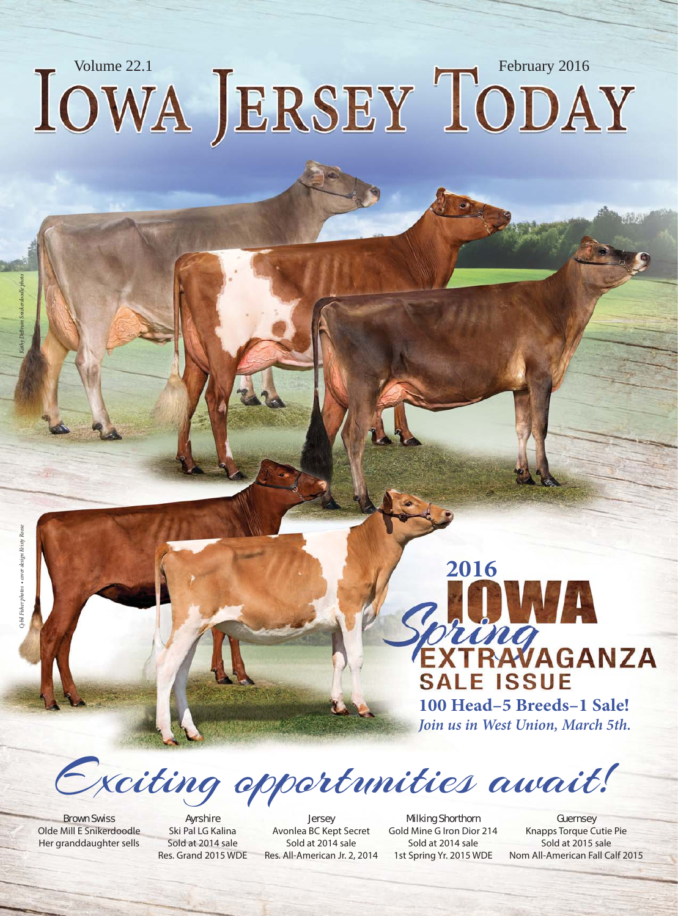# IOWA JERSEY TODAY

Exciting opportunities await!

Brown Swiss Olde Mill E Snikerdoodle Her granddaughter sells

Ayrshire Ski Pal LG Kalina Sold at 2014 sale Res. Grand 2015 WDE

**Jersey** Avonlea BC Kept Secret Sold at 2014 sale Res. All-American Jr. 2, 2014

Milking Shorthorn Gold Mine G Iron Dior 214 Sold at 2014 sale 1st Spring Yr. 2015 WDE

**Guernsey** Knapps Torque Cutie Pie Sold at 2015 sale Nom All-American Fall Calf 2015

**100 Head–5 Breeds–1 Sale! Join us in West Union, March 5th.**

**SALE ISSUE** 

WA

TONG<br>TRAVAGANZA

**2016**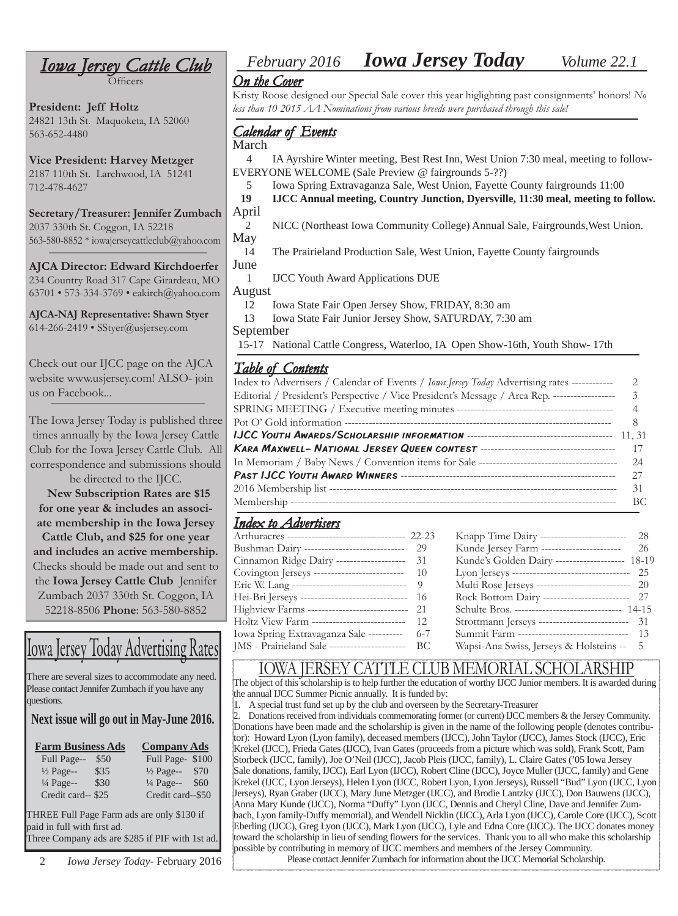Officers

**President: Jeff Holtz** 24821 13th St. Maquoketa, IA 52060 563-652-4480

**Vice President: Harvey Metzger** 2187 110th St. Larchwood, IA 51241 712-478-4627

**Secretary/Treasurer: Jennifer Zumbach** 2037 330th St. Coggon, IA 52218 563-580-8852 \* iowajerseycattleclub@yahoo.com

**AJCA Director: Edward Kirchdoerfer** 234 Country Road 317 Cape Girardeau, MO 63701 • 573-334-3769 • eakirch@yahoo.com

**AJCA-NAJ Representative: Shawn Styer** 614-266-2419 • SStyer@usjersey.com

Check out our IJCC page on the AJCA website www.usjersey.com! ALSO- join us on Facebook...

The Iowa Jersey Today is published three times annually by the Iowa Jersey Cattle Club for the Iowa Jersey Cattle Club. All correspondence and submissions should

be directed to the IJCC. **New Subscription Rates are \$15 for one year & includes an associate membership in the Iowa Jersey** 

**Cattle Club, and \$25 for one year and includes an active membership.**  Checks should be made out and sent to the **Iowa Jersey Cattle Club** Jennifer Zumbach 2037 330th St. Coggon, IA 52218-8506 **Phone**: 563-580-8852

# Iowa Jersey Today Advertising Rates

There are several sizes to accommodate any need. Please contact Jennifer Zumbach if you have any questions.

#### **Next issue will go out in May-June 2016.**

| <b>Farm Business Ads</b> |      | <b>Company Ads</b>   |      |
|--------------------------|------|----------------------|------|
| Full Page--              | \$50 | Full Page-\$100      |      |
| $\frac{1}{2}$ Page--     | \$35 | $\frac{1}{2}$ Page-- | \$70 |
| $\frac{1}{4}$ Page--     | \$30 | $\frac{1}{4}$ Page-- | \$60 |
| Credit card--\$25        |      | Credit card--\$50    |      |

THREE Full Page Farm ads are only \$130 if paid in full with first ad.

Three Company ads are \$285 if PIF with 1st ad.

2 *Iowa Jersey Today*- February 2016

# *February 2016**Iowa Jersey Today Volume 22.1 Iowa Jersey Cattle Club owa*

#### *<u>On the Cover</u>*

Kristy Roose designed our Special Sale cover this year higlighting past consignments' honors! *No less than 10 2015 AA Nominations from various breeds were purchased through this sale!*

## *Calendar of Events alendar of*

March

 4 IA Ayrshire Winter meeting, Best Rest Inn, West Union 7:30 meal, meeting to follow-EVERYONE WELCOME (Sale Preview @ fairgrounds 5-??)

5 Iowa Spring Extravaganza Sale, West Union, Fayette County fairgrounds 11:00

 **19 IJCC Annual meeting, Country Junction, Dyersville, 11:30 meal, meeting to follow.** April

 2 NICC (Northeast Iowa Community College) Annual Sale, Fairgrounds,West Union. May

 14 The Prairieland Production Sale, West Union, Fayette County fairgrounds June

1 IJCC Youth Award Applications DUE

August

12 Iowa State Fair Open Jersey Show, FRIDAY, 8:30 am

 13 Iowa State Fair Junior Jersey Show, SATURDAY, 7:30 am September

15-17 National Cattle Congress, Waterloo, IA Open Show-16th, Youth Show- 17th

### *Table of Contents able of*

| <u>==================</u>                                                                           |                |
|-----------------------------------------------------------------------------------------------------|----------------|
| Index to Advertisers / Calendar of Events / <i>Iowa Jersey Today</i> Advertising rates ------------ | $\mathcal{L}$  |
| Editorial / President's Perspective / Vice President's Message / Area Rep. ------------------ 3     |                |
|                                                                                                     | $\overline{4}$ |
|                                                                                                     |                |
|                                                                                                     |                |
|                                                                                                     |                |
|                                                                                                     |                |
|                                                                                                     |                |
|                                                                                                     | 31             |
|                                                                                                     | – BC           |
|                                                                                                     |                |

### **Index to Advertisers**

| Arthuracres ----------------------------------- 22-23 | Knapp Time Dairy --------------------------          | 28 |
|-------------------------------------------------------|------------------------------------------------------|----|
| Bushman Dairy -------------------------------- 29     | Kunde Jersey Farm ------------------------           | 26 |
| Cinnamon Ridge Dairy --------------------- 31         | Kunde's Golden Dairy -------------------- 18-19      |    |
| Covington Jerseys --------------------------- 10      |                                                      |    |
|                                                       | Multi Rose Jerseys ----------------------------- 20  |    |
| Hei-Bri Jerseys -------------------------------- 16   | Rock Bottom Dairy ------------------------- 27       |    |
| Highview Farms ------------------------------ 21      | Schulte Bros. -------------------------------- 14-15 |    |
| Holtz View Farm ---------------------------- 12       | Strottmann Jerseys -------------------------- 31     |    |
| Iowa Spring Extravaganza Sale ---------- 6-7          | Summit Farm ---------------------------------- 13    |    |
| JMS - Prairieland Sale ----------------------- BC     | Wapsi-Ana Swiss, Jerseys & Holsteins -- 5            |    |
|                                                       |                                                      |    |

# IOWA JERSEY CATTLE CLUB MEMORIAL SCHOLARSHIP<br>The object of this scholarship is to help further the education of worthy IJCC Junior members. It is awarded during

the annual IJCC Summer Picnic annually. It is funded by:

1. A special trust fund set up by the club and overseen by the Secretary-Treasurer

2. Donations received from individuals commemorating former (or current) IJCC members & the Jersey Community. Donations have been made and the scholarship is given in the name of the following people (denotes contributor): Howard Lyon (Lyon family), deceased members (IJCC), John Taylor (IJCC), James Stock (IJCC), Eric Krekel (IJCC), Frieda Gates (IJCC), Ivan Gates (proceeds from a picture which was sold), Frank Scott, Pam Storbeck (IJCC, family), Joe O'Neil (IJCC), Jacob Pleis (IJCC, family), L. Claire Gates ('05 Iowa Jersey Sale donations, family, IJCC), Earl Lyon (IJCC), Robert Cline (IJCC), Joyce Muller (IJCC, family) and Gene Krekel (IJCC, Lyon Jerseys), Helen Lyon (IJCC, Robert Lyon, Lyon Jerseys), Russell "Bud" Lyon (IJCC, Lyon Jerseys), Ryan Graber (IJCC), Mary June Metzger (IJCC), and Brodie Lantzky (IJCC), Don Bauwens (IJCC), Anna Mary Kunde (IJCC), Norma "Duffy" Lyon (IJCC, Dennis and Cheryl Cline, Dave and Jennifer Zumbach, Lyon family-Duffy memorial), and Wendell Nicklin (IJCC), Arla Lyon (IJCC), Carole Core (IJCC), Scott Eberling (IJCC), Greg Lyon (IJCC), Mark Lyon (IJCC), Lyle and Edna Core (IJCC). The IJCC donates money toward the scholarship in lieu of sending flowers for the services. Thank you to all who make this scholarship possible by contributing in memory of IJCC members and members of the Jersey Community. Please contact Jennifer Zumbach for information about the IJCC Memorial Scholarship.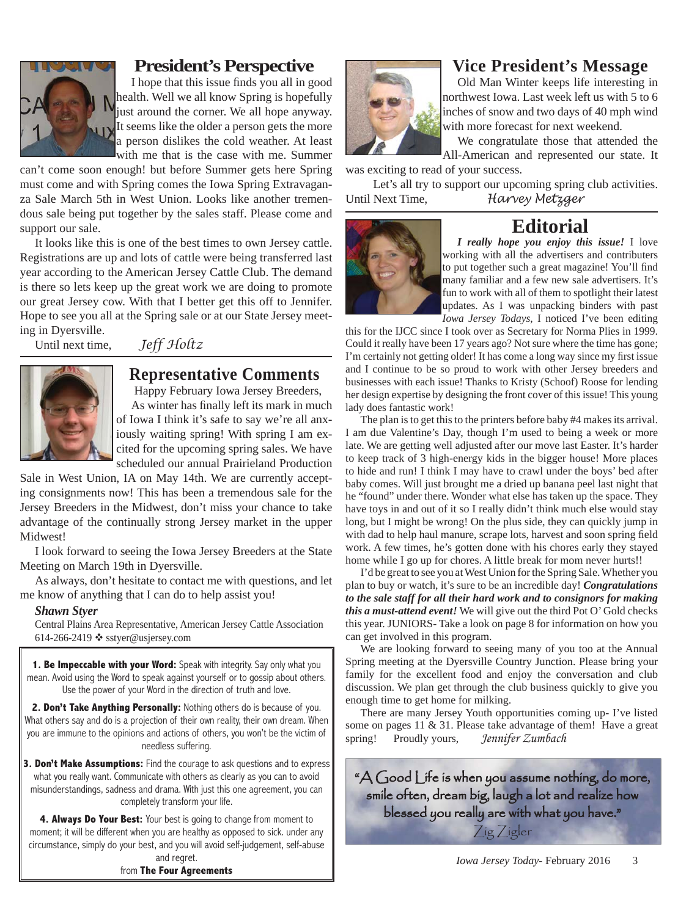

### **President's Perspective**

I hope that this issue finds you all in good health. Well we all know Spring is hopefully just around the corner. We all hope anyway. It seems like the older a person gets the more a person dislikes the cold weather. At least with me that is the case with me. Summer

can't come soon enough! but before Summer gets here Spring must come and with Spring comes the Iowa Spring Extravaganza Sale March 5th in West Union. Looks like another tremendous sale being put together by the sales staff. Please come and support our sale.

It looks like this is one of the best times to own Jersey cattle. Registrations are up and lots of cattle were being transferred last year according to the American Jersey Cattle Club. The demand is there so lets keep up the great work we are doing to promote our great Jersey cow. With that I better get this off to Jennifer. Hope to see you all at the Spring sale or at our State Jersey meeting in Dyersville.

Until next time, *Jeff Holtz*



# **Representative Comments**

Happy February Iowa Jersey Breeders,

As winter has finally left its mark in much of Iowa I think it's safe to say we're all anxiously waiting spring! With spring I am excited for the upcoming spring sales. We have scheduled our annual Prairieland Production

Sale in West Union, IA on May 14th. We are currently accepting consignments now! This has been a tremendous sale for the Jersey Breeders in the Midwest, don't miss your chance to take advantage of the continually strong Jersey market in the upper Midwest!

I look forward to seeing the Iowa Jersey Breeders at the State Meeting on March 19th in Dyersville.

As always, don't hesitate to contact me with questions, and let me know of anything that I can do to help assist you!

#### *Shawn Styer*

Central Plains Area Representative, American Jersey Cattle Association 614-266-2419  $\diamond$  sstyer@usjersey.com

**1. Be Impeccable with your Word:** Speak with integrity. Say only what you mean. Avoid using the Word to speak against yourself or to gossip about others. Use the power of your Word in the direction of truth and love.

**2. Don't Take Anything Personally:** Nothing others do is because of you. What others say and do is a projection of their own reality, their own dream. When you are immune to the opinions and actions of others, you won't be the victim of needless suffering.

**3. Don't Make Assumptions:** Find the courage to ask questions and to express what you really want. Communicate with others as clearly as you can to avoid misunderstandings, sadness and drama. With just this one agreement, you can completely transform your life.

**4. Always Do Your Best:** Your best is going to change from moment to moment; it will be different when you are healthy as opposed to sick. under any circumstance, simply do your best, and you will avoid self-judgement, self-abuse and regret.

from **The Four Agreements**



# **Vice President's Message**

Old Man Winter keeps life interesting in northwest Iowa. Last week left us with 5 to 6 inches of snow and two days of 40 mph wind with more forecast for next weekend.

We congratulate those that attended the All-American and represented our state. It

was exciting to read of your success. Let's all try to support our upcoming spring club activities.

Until Next Time, *Harvey Metzger*

## **Editorial**



*I really hope you enjoy this issue!* I love working with all the advertisers and contributers to put together such a great magazine! You'll find many familiar and a few new sale advertisers. It's fun to work with all of them to spotlight their latest updates. As I was unpacking binders with past *Iowa Jersey Todays*, I noticed I've been editing

this for the IJCC since I took over as Secretary for Norma Plies in 1999. Could it really have been 17 years ago? Not sure where the time has gone; I'm certainly not getting older! It has come a long way since my first issue and I continue to be so proud to work with other Jersey breeders and businesses with each issue! Thanks to Kristy (Schoof) Roose for lending her design expertise by designing the front cover of this issue! This young lady does fantastic work!

The plan is to get this to the printers before baby #4 makes its arrival. I am due Valentine's Day, though I'm used to being a week or more late. We are getting well adjusted after our move last Easter. It's harder to keep track of 3 high-energy kids in the bigger house! More places to hide and run! I think I may have to crawl under the boys' bed after baby comes. Will just brought me a dried up banana peel last night that he "found" under there. Wonder what else has taken up the space. They have toys in and out of it so I really didn't think much else would stay long, but I might be wrong! On the plus side, they can quickly jump in with dad to help haul manure, scrape lots, harvest and soon spring field work. A few times, he's gotten done with his chores early they stayed home while I go up for chores. A little break for mom never hurts!!

I'd be great to see you at West Union for the Spring Sale. Whether you plan to buy or watch, it's sure to be an incredible day! *Congratulations to the sale staff for all their hard work and to consignors for making this a must-attend event!* We will give out the third Pot O' Gold checks this year. JUNIORS- Take a look on page 8 for information on how you can get involved in this program.

We are looking forward to seeing many of you too at the Annual Spring meeting at the Dyersville Country Junction. Please bring your family for the excellent food and enjoy the conversation and club discussion. We plan get through the club business quickly to give you enough time to get home for milking.

There are many Jersey Youth opportunities coming up- I've listed some on pages 11 & 31. Please take advantage of them! Have a great spring! Proudly yours, *Jennifer Zumbach*

" $A$  Good Life is when you assume nothing, do more, smile often, dream big, laugh a lot and realize how blessed you really are with what you have."

Zig Zigler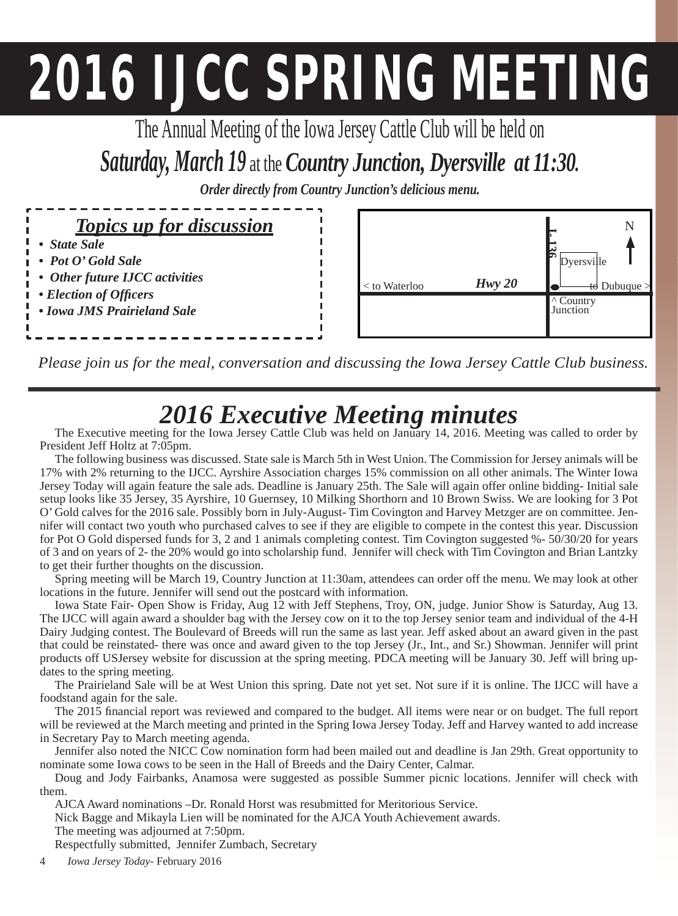# **2016 IJCC SPRING MEETING**

The Annual Meeting of the Iowa Jersey Cattle Club will be held on

# *Saturday, March 19* at the *Country Junction, Dyersville at 11:30.* Order directly from Country Junction's delicious menu.

| <i>Topics up for discussion</i>        |
|----------------------------------------|
| • State Sale                           |
| $\bullet$ Pot O'Gold Sale              |
| • Other future IJCC activities         |
| <i>i</i> • <i>Election of Officers</i> |
| • Iowa JMS Prairieland Sale            |
|                                        |



*Please join us for the meal, conversation and discussing the Iowa Jersey Cattle Club business.*

# *2016 Executive Meeting minutes* The Executive meeting for the Iowa Jersey Cattle Club was held on January 14, 2016. Meeting was called to order by

President Jeff Holtz at 7:05pm.

The following business was discussed. State sale is March 5th in West Union. The Commission for Jersey animals will be 17% with 2% returning to the IJCC. Ayrshire Association charges 15% commission on all other animals. The Winter Iowa Jersey Today will again feature the sale ads. Deadline is January 25th. The Sale will again offer online bidding- Initial sale setup looks like 35 Jersey, 35 Ayrshire, 10 Guernsey, 10 Milking Shorthorn and 10 Brown Swiss. We are looking for 3 Pot O' Gold calves for the 2016 sale. Possibly born in July-August- Tim Covington and Harvey Metzger are on committee. Jennifer will contact two youth who purchased calves to see if they are eligible to compete in the contest this year. Discussion for Pot O Gold dispersed funds for 3, 2 and 1 animals completing contest. Tim Covington suggested %- 50/30/20 for years of 3 and on years of 2- the 20% would go into scholarship fund. Jennifer will check with Tim Covington and Brian Lantzky to get their further thoughts on the discussion.

Spring meeting will be March 19, Country Junction at 11:30am, attendees can order off the menu. We may look at other locations in the future. Jennifer will send out the postcard with information.

Iowa State Fair- Open Show is Friday, Aug 12 with Jeff Stephens, Troy, ON, judge. Junior Show is Saturday, Aug 13. The IJCC will again award a shoulder bag with the Jersey cow on it to the top Jersey senior team and individual of the 4-H Dairy Judging contest. The Boulevard of Breeds will run the same as last year. Jeff asked about an award given in the past that could be reinstated- there was once and award given to the top Jersey (Jr., Int., and Sr.) Showman. Jennifer will print products off USJersey website for discussion at the spring meeting. PDCA meeting will be January 30. Jeff will bring updates to the spring meeting.

The Prairieland Sale will be at West Union this spring. Date not yet set. Not sure if it is online. The IJCC will have a foodstand again for the sale.

The 2015 financial report was reviewed and compared to the budget. All items were near or on budget. The full report will be reviewed at the March meeting and printed in the Spring Iowa Jersey Today. Jeff and Harvey wanted to add increase in Secretary Pay to March meeting agenda.

Jennifer also noted the NICC Cow nomination form had been mailed out and deadline is Jan 29th. Great opportunity to nominate some Iowa cows to be seen in the Hall of Breeds and the Dairy Center, Calmar.

Doug and Jody Fairbanks, Anamosa were suggested as possible Summer picnic locations. Jennifer will check with them.

AJCA Award nominations –Dr. Ronald Horst was resubmitted for Meritorious Service.

Nick Bagge and Mikayla Lien will be nominated for the AJCA Youth Achievement awards.

The meeting was adjourned at 7:50pm.

Respectfully submitted, Jennifer Zumbach, Secretary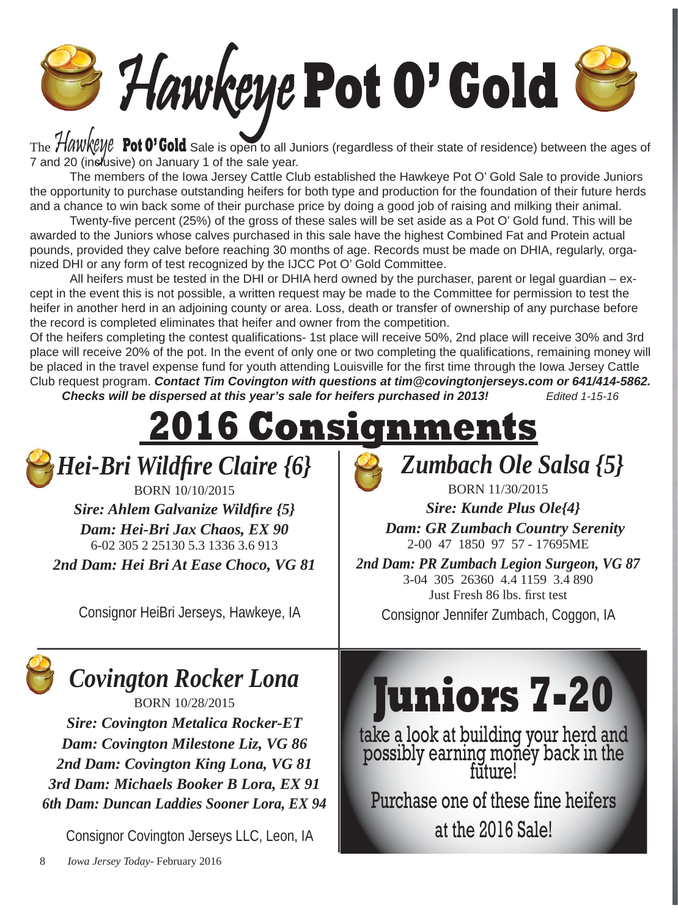# Hawkeye **Pot O' Gold**

The **Hawkeye** Pot 0' Gold Sale is open to all Juniors (regardless of their state of residence) between the ages of 7 and 20 (inclusive) on January 1 of the sale year.

 The members of the Iowa Jersey Cattle Club established the Hawkeye Pot O' Gold Sale to provide Juniors the opportunity to purchase outstanding heifers for both type and production for the foundation of their future herds and a chance to win back some of their purchase price by doing a good job of raising and milking their animal.

Twenty-five percent (25%) of the gross of these sales will be set aside as a Pot O' Gold fund. This will be awarded to the Juniors whose calves purchased in this sale have the highest Combined Fat and Protein actual pounds, provided they calve before reaching 30 months of age. Records must be made on DHIA, regularly, organized DHI or any form of test recognized by the IJCC Pot O' Gold Committee.

 All heifers must be tested in the DHI or DHIA herd owned by the purchaser, parent or legal guardian – except in the event this is not possible, a written request may be made to the Committee for permission to test the heifer in another herd in an adjoining county or area. Loss, death or transfer of ownership of any purchase before the record is completed eliminates that heifer and owner from the competition.

Of the heifers completing the contest qualifications- 1st place will receive 50%, 2nd place will receive 30% and 3rd place will receive 20% of the pot. In the event of only one or two completing the qualifications, remaining money will be placed in the travel expense fund for youth attending Louisville for the first time through the Iowa Jersey Cattle Club request program. *Contact Tim Covington with questions at tim@covingtonjerseys.com or 641/414-5862. Checks will be dispersed at this year's sale for heifers purchased in 2013! Edited 1-15-16*

 **2016 Consignments**

*Hei-Bri Wildfire Claire {6}* 

BORN 10/10/2015 *Sire: Ahlem Galvanize Wildfire {5} Dam: Hei-Bri Jax Chaos, EX 90* 6-02 305 2 25130 5.3 1336 3.6 913 *2nd Dam: Hei Bri At Ease Choco, VG 81* 

Consignor HeiBri Jerseys, Hawkeye, IA



*Sire: Kunde Plus Ole{4} Dam: GR Zumbach Country Serenity* 2-00 47 1850 97 57 - 17695ME

BORN 11/30/2015

*2nd Dam: PR Zumbach Legion Surgeon, VG 87* 3-04 305 26360 4.4 1159 3.4 890 Just Fresh 86 lbs. first test Consignor Jennifer Zumbach, Coggon, IA

# *Covington Rocker Lona*

BORN 10/28/2015

*Sire: Covington Metalica Rocker-ET Dam: Covington Milestone Liz, VG 86 2nd Dam: Covington King Lona, VG 81 3rd Dam: Michaels Booker B Lora, EX 91 6th Dam: Duncan Laddies Sooner Lora, EX 94*

Consignor Covington Jerseys LLC, Leon, IA



take a look at building your herd and possibly earning money back in the future!

Purchase one of these fine heifers at the 2016 Sale!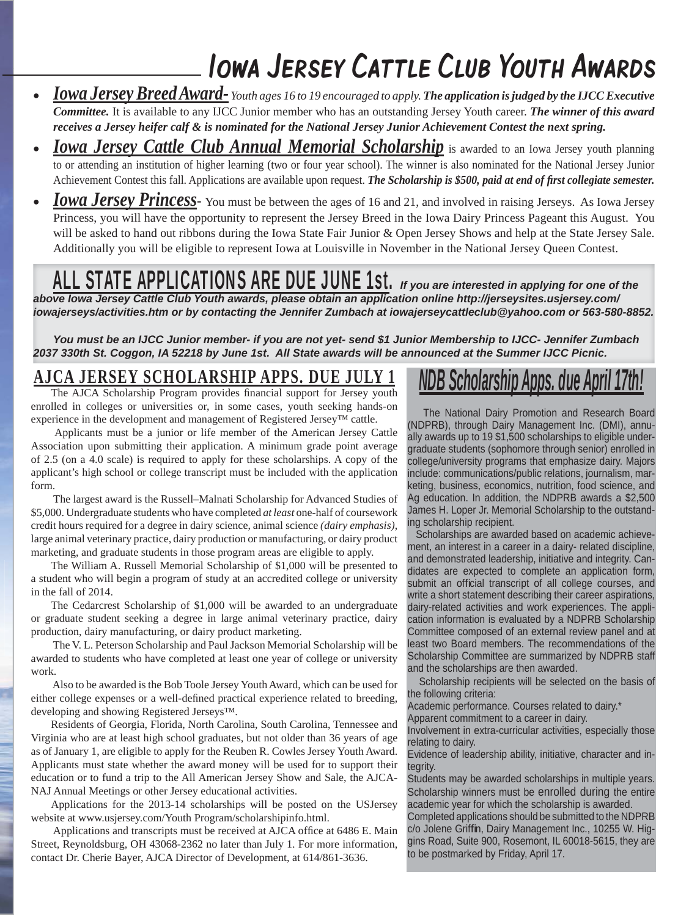# Iowa Jersey Cattle Club Youth Awards

- *Iowa Jersey Breed Award- Youth ages 16 to 19 encouraged to apply. The application is judged by the IJCC Executive Committee.* It is available to any IJCC Junior member who has an outstanding Jersey Youth career. *The winner of this award receives a Jersey heifer calf & is nominated for the National Jersey Junior Achievement Contest the next spring.*
- *Iowa Jersey Cattle Club Annual Memorial Scholarship is awarded to an Iowa Jersey youth planning* to or attending an institution of higher learning (two or four year school). The winner is also nominated for the National Jersey Junior Achievement Contest this fall. Applications are available upon request. The Scholarship is \$500, paid at end of first collegiate semester.
- *Iowa Jersey Princess* You must be between the ages of 16 and 21, and involved in raising Jerseys. As Iowa Jersey Princess, you will have the opportunity to represent the Jersey Breed in the Iowa Dairy Princess Pageant this August. You will be asked to hand out ribbons during the Iowa State Fair Junior & Open Jersey Shows and help at the State Jersey Sale. Additionally you will be eligible to represent Iowa at Louisville in November in the National Jersey Queen Contest.

# ALL STATE APPLICATIONS ARE DUE JUNE 1st. *If you are interested in applying for one of the*

*above Iowa Jersey Cattle Club Youth awards, please obtain an application online http://jerseysites.usjersey.com/ iowajerseys/activities.htm or by contacting the Jennifer Zumbach at iowajerseycattleclub@yahoo.com or 563-580-8852.* 

*You must be an IJCC Junior member- if you are not yet- send \$1 Junior Membership to IJCC- Jennifer Zumbach 2037 330th St. Coggon, IA 52218 by June 1st. All State awards will be announced at the Summer IJCC Picnic.*

# **AJCA JERSEY SCHOLARSHIP APPS. DUE JULY 1**

The AJCA Scholarship Program provides financial support for Jersey youth enrolled in colleges or universities or, in some cases, youth seeking hands-on experience in the development and management of Registered Jersey™ cattle.

 Applicants must be a junior or life member of the American Jersey Cattle Association upon submitting their application. A minimum grade point average of 2.5 (on a 4.0 scale) is required to apply for these scholarships. A copy of the applicant's high school or college transcript must be included with the application form.

 The largest award is the Russell–Malnati Scholarship for Advanced Studies of \$5,000. Undergraduate students who have completed *at least* one-half of coursework credit hours required for a degree in dairy science, animal science *(dairy emphasis)*, large animal veterinary practice, dairy production or manufacturing, or dairy product marketing, and graduate students in those program areas are eligible to apply.

The William A. Russell Memorial Scholarship of \$1,000 will be presented to a student who will begin a program of study at an accredited college or university in the fall of 2014.

The Cedarcrest Scholarship of \$1,000 will be awarded to an undergraduate or graduate student seeking a degree in large animal veterinary practice, dairy production, dairy manufacturing, or dairy product marketing.

 The V. L. Peterson Scholarship and Paul Jackson Memorial Scholarship will be awarded to students who have completed at least one year of college or university work.

 Also to be awarded is the Bob Toole Jersey Youth Award, which can be used for either college expenses or a well-defined practical experience related to breeding, developing and showing Registered Jerseys™.

Residents of Georgia, Florida, North Carolina, South Carolina, Tennessee and Virginia who are at least high school graduates, but not older than 36 years of age as of January 1, are eligible to apply for the Reuben R. Cowles Jersey Youth Award. Applicants must state whether the award money will be used for to support their education or to fund a trip to the All American Jersey Show and Sale, the AJCA-NAJ Annual Meetings or other Jersey educational activities.

Applications for the 2013-14 scholarships will be posted on the USJersey website at www.usjersey.com/Youth Program/scholarshipinfo.html.

Applications and transcripts must be received at AJCA office at 6486 E. Main Street, Reynoldsburg, OH 43068-2362 no later than July 1. For more information, contact Dr. Cherie Bayer, AJCA Director of Development, at 614/861-3636.

# *NDB Scholarship Apps. due April 17th!*

 The National Dairy Promotion and Research Board (NDPRB), through Dairy Management Inc. (DMI), annually awards up to 19 \$1,500 scholarships to eligible undergraduate students (sophomore through senior) enrolled in college/university programs that emphasize dairy. Majors include: communications/public relations, journalism, marketing, business, economics, nutrition, food science, and Ag education. In addition, the NDPRB awards a \$2,500 James H. Loper Jr. Memorial Scholarship to the outstanding scholarship recipient.

 Scholarships are awarded based on academic achievement, an interest in a career in a dairy- related discipline, and demonstrated leadership, initiative and integrity. Candidates are expected to complete an application form, submit an official transcript of all college courses, and write a short statement describing their career aspirations, dairy-related activities and work experiences. The application information is evaluated by a NDPRB Scholarship Committee composed of an external review panel and at least two Board members. The recommendations of the Scholarship Committee are summarized by NDPRB staff and the scholarships are then awarded.

 Scholarship recipients will be selected on the basis of the following criteria:

Academic performance. Courses related to dairy.\*

Apparent commitment to a career in dairy.

Involvement in extra-curricular activities, especially those relating to dairy.

Evidence of leadership ability, initiative, character and integrity.

Students may be awarded scholarships in multiple years. Scholarship winners must be enrolled during the entire academic year for which the scholarship is awarded.

to be postmarked by Friday, April 17. Completed applications should be submitted to the NDPRB c/o Jolene Griffin, Dairy Management Inc., 10255 W. Higgins Road, Suite 900, Rosemont, IL 60018-5615, they are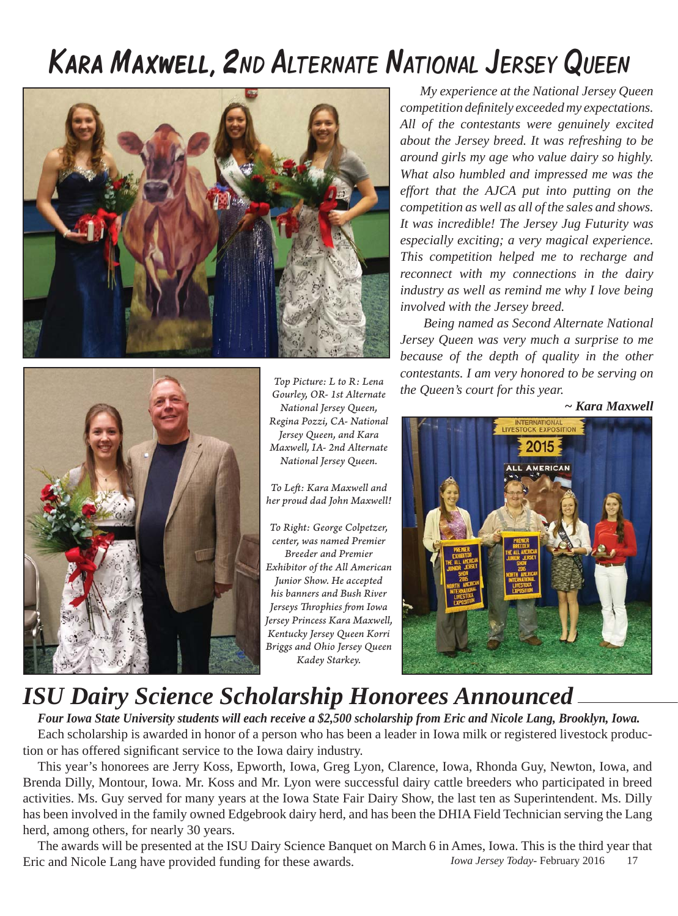# Kara Maxwell, 2ND ALTERNATE NATIONAL JERSEY QUEEN





*Top Picture: L to R: Lena Gourley, OR- 1st Alternate National Jersey Queen, Regina Pozzi, CA- National Jersey Queen, and Kara Maxwell, IA- 2nd Alternate National Jersey Queen.* 

*To Left : Kara Maxwell and her proud dad John Maxwell!*

*To Right: George Colpetzer, center, was named Premier Breeder and Premier Exhibitor of the All American Junior Show. He accepted his banners and Bush River Jerseys Throphies from Iowa Jersey Princess Kara Maxwell, Kentucky Jersey Queen Korri Briggs and Ohio Jersey Queen Kadey Starkey.*

*My experience at the National Jersey Queen competition defi nitely exceeded my expectations. All of the contestants were genuinely excited about the Jersey breed. It was refreshing to be around girls my age who value dairy so highly. What also humbled and impressed me was the effort that the AJCA put into putting on the competition as well as all of the sales and shows. It was incredible! The Jersey Jug Futurity was especially exciting; a very magical experience. This competition helped me to recharge and reconnect with my connections in the dairy industry as well as remind me why I love being involved with the Jersey breed.* 

 *Being named as Second Alternate National Jersey Queen was very much a surprise to me because of the depth of quality in the other contestants. I am very honored to be serving on the Queen's court for this year.* 

*~ Kara Maxwell*



# *ISU Dairy Science Scholarship Honorees Announced*

*Four Iowa State University students will each receive a \$2,500 scholarship from Eric and Nicole Lang, Brooklyn, Iowa.* Each scholarship is awarded in honor of a person who has been a leader in Iowa milk or registered livestock production or has offered significant service to the Iowa dairy industry.

This year's honorees are Jerry Koss, Epworth, Iowa, Greg Lyon, Clarence, Iowa, Rhonda Guy, Newton, Iowa, and Brenda Dilly, Montour, Iowa. Mr. Koss and Mr. Lyon were successful dairy cattle breeders who participated in breed activities. Ms. Guy served for many years at the Iowa State Fair Dairy Show, the last ten as Superintendent. Ms. Dilly has been involved in the family owned Edgebrook dairy herd, and has been the DHIA Field Technician serving the Lang herd, among others, for nearly 30 years.

*Iowa Jersey Today*- February 2016 17 The awards will be presented at the ISU Dairy Science Banquet on March 6 in Ames, Iowa. This is the third year that Eric and Nicole Lang have provided funding for these awards.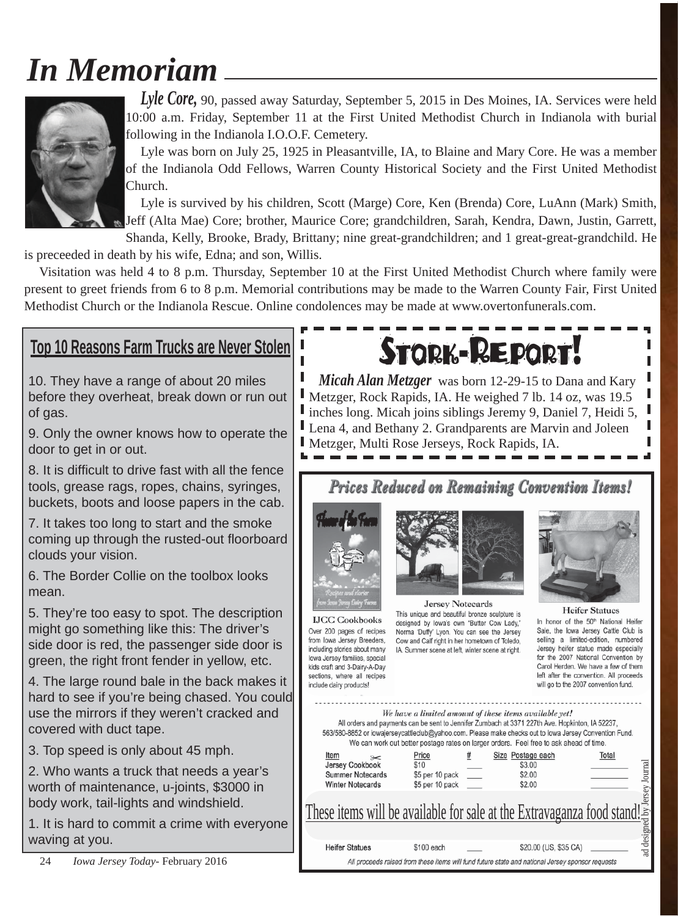# *In Memoriam*



*Lyle Core,* 90, passed away Saturday, September 5, 2015 in Des Moines, IA. Services were held 10:00 a.m. Friday, September 11 at the First United Methodist Church in Indianola with burial following in the Indianola I.O.O.F. Cemetery.

Lyle was born on July 25, 1925 in Pleasantville, IA, to Blaine and Mary Core. He was a member of the Indianola Odd Fellows, Warren County Historical Society and the First United Methodist Church.

Lyle is survived by his children, Scott (Marge) Core, Ken (Brenda) Core, LuAnn (Mark) Smith, Jeff (Alta Mae) Core; brother, Maurice Core; grandchildren, Sarah, Kendra, Dawn, Justin, Garrett, Shanda, Kelly, Brooke, Brady, Brittany; nine great-grandchildren; and 1 great-great-grandchild. He

is preceeded in death by his wife, Edna; and son, Willis.

Visitation was held 4 to 8 p.m. Thursday, September 10 at the First United Methodist Church where family were present to greet friends from 6 to 8 p.m. Memorial contributions may be made to the Warren County Fair, First United Methodist Church or the Indianola Rescue. Online condolences may be made at www.overtonfunerals.com.

# **Top 10 Reasons Farm Trucks are Never Stolen**

10. They have a range of about 20 miles before they overheat, break down or run out of gas.

9. Only the owner knows how to operate the door to get in or out.

8. It is difficult to drive fast with all the fence tools, grease rags, ropes, chains, syringes, buckets, boots and loose papers in the cab.

7. It takes too long to start and the smoke coming up through the rusted-out floorboard clouds your vision.

6. The Border Collie on the toolbox looks mean.

5. They're too easy to spot. The description might go something like this: The driver's side door is red, the passenger side door is green, the right front fender in yellow, etc.

4. The large round bale in the back makes it hard to see if you're being chased. You could use the mirrors if they weren't cracked and covered with duct tape.

3. Top speed is only about 45 mph.

2. Who wants a truck that needs a year's worth of maintenance, u-joints, \$3000 in body work, tail-lights and windshield.

1. It is hard to commit a crime with everyone waving at you.

# **STORK-REPOR**

I *Micah Alan Metzger* was born 12-29-15 to Dana and Kary Metzger, Rock Rapids, IA. He weighed 7 lb. 14 oz, was 19.5 ı L inches long. Micah joins siblings Jeremy 9, Daniel 7, Heidi 5, Lena 4, and Bethany 2. Grandparents are Marvin and Joleen П П Metzger, Multi Rose Jerseys, Rock Rapids, IA.

Prices Reduced on Remaining Convention Items!



**IJCC Cookbooks** 

Over 200 pages of recipes

from lowa Jersey Breeders,

including stories about many

lowa Jersey families, special

kids craft and 3-Dairy-A-Day sections, where all recipes

include dairy products!



**Jersey Notecards** This unique and beautiful bronze sculpture is designed by Iowa's own "Butter Cow Lady," Norma 'Duffy' Lyon. You can see the Jersey Cow and Calf right in her hometown of Toledo, IA. Summer scene at left, winter scene at right.



**Heifer Statues** In honor of the 50th National Heifer Sale, the Iowa Jersey Cattle Club is selling a limited-edition, numbered Jersey heifer statue made especially for the 2007 National Convention by Carol Herden. We have a few of them left after the convention. All proceeds will go to the 2007 convention fund.

|                                                                                            | We have a limited amount of these items available yet!<br>All orders and payments can be sent to Jennifer Zumbach at 3371 227th Ave. Hopkinton, IA 52237,<br>563/580-8852 or iowajerseycattleclub@yahoo.com. Please make checks out to lowa Jersey Convention Fund.<br>We can work out better postage rates on larger orders. Feel free to ask ahead of time. |   |                                                 |                  |
|--------------------------------------------------------------------------------------------|---------------------------------------------------------------------------------------------------------------------------------------------------------------------------------------------------------------------------------------------------------------------------------------------------------------------------------------------------------------|---|-------------------------------------------------|------------------|
| Item<br>$\approx$<br>Jersey Cookbook<br><b>Summer Notecards</b><br><b>Winter Notecards</b> | Price<br>\$10<br>\$5 per 10 pack<br>\$5 per 10 pack                                                                                                                                                                                                                                                                                                           | # | Size Postage each<br>\$3.00<br>\$2.00<br>\$2.00 | Total<br>Journal |
|                                                                                            | <u>These items will be available for sale at the Extravaganza food stand!</u>                                                                                                                                                                                                                                                                                 |   |                                                 | ersey            |
| <b>Heifer Statues</b>                                                                      | \$100 each                                                                                                                                                                                                                                                                                                                                                    |   | \$20.00 (US, \$35 CA)                           | ad designed      |

All proceeds raised from these items will fund future state and national Jersey sponsor requests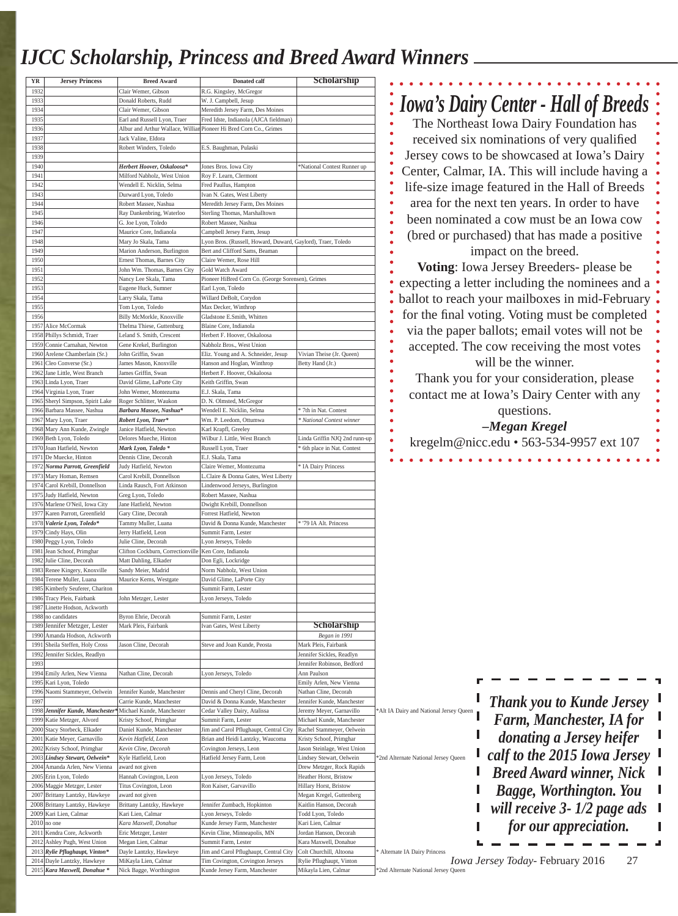# *IJCC Scholarship, Princess and Breed Award Winners*

| ΥR           | <b>Jersey Princess</b>                                                                   | <b>Breed Award</b>                                         | <b>Donated calf</b>                                                                                         | Scholarship                                           |                                                                       |
|--------------|------------------------------------------------------------------------------------------|------------------------------------------------------------|-------------------------------------------------------------------------------------------------------------|-------------------------------------------------------|-----------------------------------------------------------------------|
| 1932         |                                                                                          | Clair Wemer, Gibson                                        | R.G. Kingsley, McGregor                                                                                     |                                                       |                                                                       |
| 1933         |                                                                                          | Donald Roberts, Rudd                                       | W. J. Campbell, Jesup                                                                                       |                                                       | <b>Iowa's Dairy Center - Hall of Breeds</b>                           |
| 1934         |                                                                                          | Clair Wemer, Gibson                                        | Meredith Jersey Farm, Des Moines                                                                            |                                                       |                                                                       |
| 1935<br>1936 |                                                                                          | Earl and Russell Lyon, Traer                               | Fred Idste, Indianola (AJCA fieldman)<br>Albur and Arthur Wallace, Willian Pioneer Hi Bred Corn Co., Grimes |                                                       | The Northeast Iowa Dairy Foundation has                               |
| 1937         |                                                                                          | Jack Valine, Eldora                                        |                                                                                                             |                                                       | received six nominations of very qualified                            |
| 1938         |                                                                                          | Robert Winders, Toledo                                     | E.S. Baughman, Pulaski                                                                                      |                                                       |                                                                       |
| 1939         |                                                                                          |                                                            |                                                                                                             |                                                       | Jersey cows to be showcased at Iowa's Dairy                           |
| 1940         |                                                                                          | Herbert Hoover, Oskaloosa*                                 | Jones Bros. Iowa City                                                                                       | *National Contest Runner up                           |                                                                       |
| 1941         |                                                                                          | Milford Nabholz, West Union                                | Roy F. Learn, Clermont                                                                                      |                                                       | Center, Calmar, IA. This will include having a                        |
| 1942         |                                                                                          | Wendell E. Nicklin, Selma                                  | Fred Paullus, Hampton                                                                                       |                                                       | life-size image featured in the Hall of Breeds                        |
| 1943         |                                                                                          | Durward Lyon, Toledo                                       | Ivan N. Gates, West Liberty                                                                                 |                                                       |                                                                       |
| 1944         |                                                                                          | Robert Massee, Nashua                                      | Meredith Jersey Farm, Des Moines                                                                            |                                                       | area for the next ten years. In order to have                         |
| 1945<br>1946 |                                                                                          | Ray Dankenbring, Waterloo<br>G. Joe Lyon, Toledo           | Sterling Thomas, Marshalltown<br>Robert Massee, Nashua                                                      |                                                       | been nominated a cow must be an Iowa cow                              |
| 1947         |                                                                                          | Maurice Core, Indianola                                    | Campbell Jersey Farm, Jesup                                                                                 |                                                       |                                                                       |
| 1948         |                                                                                          | Mary Jo Skala, Tama                                        | Lyon Bros. (Russell, Howard, Duward, Gaylord), Traer, Toledo                                                |                                                       | (bred or purchased) that has made a positive                          |
| 1949         |                                                                                          | Marion Anderson, Burlington                                | Bert and Clifford Sams, Beaman                                                                              |                                                       | impact on the breed.                                                  |
| 1950         |                                                                                          | Ernest Thomas, Barnes City                                 | Claire Wemer, Rose Hill                                                                                     |                                                       |                                                                       |
| 1951         |                                                                                          | John Wm. Thomas, Barnes City                               | Gold Watch Award                                                                                            |                                                       | Voting: Iowa Jersey Breeders- please be                               |
| 1952         |                                                                                          | Nancy Lee Skala, Tama                                      | Pioneer HiBred Corn Co. (George Sorensen), Grimes                                                           |                                                       | expecting a letter including the nominees and a                       |
| 1953<br>1954 |                                                                                          | Eugene Huck, Sumner<br>Larry Skala, Tama                   | Earl Lyon, Toledo<br>Willard DeBolt, Corydon                                                                |                                                       |                                                                       |
| 1955         |                                                                                          | Tom Lyon, Toledo                                           | Max Decker, Winthrop                                                                                        |                                                       | ballot to reach your mailboxes in mid-February                        |
| 1956         |                                                                                          | Billy McMorkle, Knoxville                                  | Gladstone E.Smith, Whitten                                                                                  |                                                       | for the final voting. Voting must be completed                        |
| 1957         | Alice McCormak                                                                           | Thelma Thiese, Guttenburg                                  | Blaine Core, Indianola                                                                                      |                                                       |                                                                       |
|              | 1958 Phillys Schmidt, Traer                                                              | Leland S. Smith, Crescent                                  | Herbert F. Hoover, Oskaloosa                                                                                |                                                       | via the paper ballots; email votes will not be                        |
| 1959         | Connie Carnahan, Newton                                                                  | Gene Krekel, Burlington                                    | Nabholz Bros., West Union                                                                                   |                                                       | accepted. The cow receiving the most votes                            |
| 1960         | Arelene Chamberlain (Sr.)                                                                | John Griffin, Swan                                         | Eliz. Young and A. Schneider, Jesup                                                                         | Vivian Theise (Jr. Queen)                             | will be the winner.                                                   |
| 1961         | Cleo Converse (Sr.)                                                                      | James Mason, Knoxville                                     | Hanson and Hoglan, Winthrop                                                                                 | Betty Hand (Jr.)                                      |                                                                       |
| 1962         | Jane Little, West Branch<br>1963 Linda Lyon, Traer                                       | James Griffin, Swan<br>David Glime, LaPorte City           | Herbert F. Hoover, Oskaloosa<br>Keith Griffin, Swan                                                         |                                                       | Thank you for your consideration, please                              |
| 1964         | Virginia Lyon, Traer                                                                     | John Wemer, Montezuma                                      | E.J. Skala, Tama                                                                                            |                                                       |                                                                       |
| 1965         | Sheryl Simpson, Spirit Lake                                                              | Roger Schlitter, Waukon                                    | D. N. Olmsted, McGregor                                                                                     |                                                       | contact me at Iowa's Dairy Center with any                            |
| 1966         | Barbara Massee, Nashua                                                                   | Barbara Massee, Nashua*                                    | Wendell E. Nicklin, Selma                                                                                   | 7th in Nat. Contest                                   | questions.                                                            |
| 1967         | Mary Lyon, Traer                                                                         | Robert Lyon, Traer*                                        | Wm. P. Leedom, Ottumwa                                                                                      | National Contest winner                               |                                                                       |
|              | 1968 Mary Ann Kunde, Zwingle                                                             | Janice Hatfield, Newton                                    | Karl Krapfl, Greeley                                                                                        |                                                       | -Megan Kregel                                                         |
|              | 1969 Beth Lyon, Toledo                                                                   | Delores Mueche, Hinton                                     | Wilbur J. Little, West Branch                                                                               | Linda Griffin NJQ 2nd runn-up                         | kregelm@nicc.edu • 563-534-9957 ext 107                               |
|              | 1970 Joan Hatfield, Newton                                                               | Mark Lyon, Toledo*                                         | Russell Lyon, Traer                                                                                         | 6th place in Nat. Contest                             |                                                                       |
|              | 1971 De Muecke, Hinton                                                                   | Dennis Cline, Decorah                                      | E.J. Skala, Tama                                                                                            |                                                       |                                                                       |
| 1972         | Norma Parrott, Greenfield<br>1973 Mary Homan, Remsen                                     | Judy Hatfield, Newton<br>Carol Krebill, Donnellson         | Claire Wemer, Montezuma<br>Claire & Donna Gates, West Liberty                                               | IA Dairy Princess                                     |                                                                       |
|              | 1974 Carol Krebill, Donnellson                                                           | Linda Rausch, Fort Atkinson                                | Lindenwood Jerseys, Burlington                                                                              |                                                       |                                                                       |
|              | 1975 Judy Hatfield, Newton                                                               | Greg Lyon, Toledo                                          | Robert Massee, Nashua                                                                                       |                                                       |                                                                       |
| 1976         | Marlene O'Neil, Iowa City                                                                | Jane Hatfield, Newton                                      | Dwight Krebill, Donnellson                                                                                  |                                                       |                                                                       |
| 1977         | Karen Parrott, Greenfield                                                                | Gary Cline, Decorah                                        | Forrest Hatfield, Newton                                                                                    |                                                       |                                                                       |
| 1978         | Valerie Lyon, Toledo*                                                                    | Tammy Muller, Luana                                        | David & Donna Kunde, Manchester                                                                             | '79 IA Alt. Princess                                  |                                                                       |
| 1979         | Cindy Hays, Olin                                                                         | Jerry Hatfield, Leon                                       | Summit Farm, Lester                                                                                         |                                                       |                                                                       |
|              | 1980 Peggy Lyon, Toledo                                                                  | Julie Cline, Decorah                                       | Lyon Jerseys, Toledo                                                                                        |                                                       |                                                                       |
| 1981         | Jean Schoof, Primghar<br>1982 Julie Cline, Decorah                                       | Clifton Cockburn, Correctionville<br>Matt Dahling, Elkader | Ken Core, Indianola<br>Don Egli, Lockridge                                                                  |                                                       |                                                                       |
|              | 1983 Renee Kingery, Knoxville                                                            | Sandy Meier, Madrid                                        | Norm Nabholz, West Union                                                                                    |                                                       |                                                                       |
| 1984         | Terene Muller, Luana                                                                     | Maurice Kerns, Westgate                                    | David Glime, LaPorte City                                                                                   |                                                       |                                                                       |
| 1985         | Kimberly Seuferer, Chariton                                                              |                                                            | Summit Farm, Lester                                                                                         |                                                       |                                                                       |
| 1986         | Tracy Pleis, Fairbank                                                                    | John Metzger, Lester                                       | Lyon Jerseys, Toledo                                                                                        |                                                       |                                                                       |
| 1987         | Linette Hodson, Ackworth                                                                 |                                                            |                                                                                                             |                                                       |                                                                       |
| 1988         | no candidates                                                                            | Byron Ehrie, Decorah                                       | Summit Farm, Lester                                                                                         |                                                       |                                                                       |
| 1989<br>1990 | Jennifer Metzger, Lester<br>Amanda Hodson, Ackworth                                      | Mark Pleis, Fairbank                                       | Ivan Gates, West Liberty                                                                                    | Scholarship<br>Began in 1991                          |                                                                       |
| 1991         | Sheila Steffen, Holy Cross                                                               | Jason Cline, Decorah                                       | Steve and Joan Kunde, Peosta                                                                                | Mark Pleis, Fairbank                                  |                                                                       |
| 1992         | Jennifer Sickles, Readlyn                                                                |                                                            |                                                                                                             | Jennifer Sickles, Readlyn                             |                                                                       |
| 1993         |                                                                                          |                                                            |                                                                                                             | Jennifer Robinson, Bedford                            |                                                                       |
|              | 1994 Emily Arlen, New Vienna                                                             | Nathan Cline, Decorah                                      | Lyon Jerseys, Toledo                                                                                        | Ann Paulson                                           |                                                                       |
| 1995         | Kari Lyon, Toledo                                                                        |                                                            |                                                                                                             | Emily Arlen, New Vienna                               |                                                                       |
| 1996         | Naomi Stammeyer, Oelwein                                                                 | Jennifer Kunde, Manchester                                 | Dennis and Cheryl Cline, Decorah                                                                            | Nathan Cline, Decorah                                 |                                                                       |
| 1997         |                                                                                          | Carrie Kunde, Manchester                                   | David & Donna Kunde, Manchester                                                                             | Jennifer Kunde, Manchester                            | <b>Thank you to Kunde Jersey</b>                                      |
|              | 1998 Jennifer Kunde, Manchester* Michael Kunde, Manchester<br>1999 Katie Metzger, Alvord | Kristy Schoof, Primghar                                    | Cedar Valley Dairy, Atalissa<br>Summit Farm, Lester                                                         | Jeremy Meyer, Garnavillo<br>Michael Kunde, Manchester | *Alt IA Dairy and National Jersey Queen<br>Farm, Manchester, IA for   |
| 2000         | Stacy Storbeck, Elkader                                                                  | Daniel Kunde, Manchester                                   | Jim and Carol Pflughaupt, Central City                                                                      | Rachel Stammeyer, Oelwein                             |                                                                       |
| 2001         | Katie Meyer, Garnavillo                                                                  | Kevin Hatfield, Leon                                       | Brian and Heidi Lantzky, Waucoma                                                                            | Kristy Schoof, Primghar                               | donating a Jersey heifer                                              |
| 2002         | Kristy Schoof, Primghar                                                                  | Kevin Cline, Decorah                                       | Covington Jerseys, Leon                                                                                     | Jason Steinlage, West Union                           |                                                                       |
|              | 2003 Lindsey Stewart, Oelwein*                                                           | Kyle Hatfield, Leon                                        | Hatfield Jersey Farm, Leon                                                                                  | Lindsey Stewart, Oelwein                              | calf to the 2015 Iowa Jersey<br>*2nd Alternate National Jersey Queen  |
| 2004         | Amanda Arlen, New Vienna                                                                 | award not given                                            |                                                                                                             | Drew Metzger, Rock Rapids                             | <b>Breed Award winner, Nick</b>                                       |
| 2005         | Erin Lyon, Toledo                                                                        | Hannah Covington, Leon                                     | Lyon Jerseys, Toledo                                                                                        | Heather Horst, Bristow                                |                                                                       |
| 2007         | 2006 Maggie Metzger, Lester<br>Brittany Lantzky, Hawkeye                                 | Titus Covington, Leon<br>ward not given                    | Ron Kaiser, Garvavillo                                                                                      | Hillary Horst, Bristow<br>Megan Kregel, Guttenberg    | Bagge, Worthington. You                                               |
|              | 2008 Brittany Lantzky, Hawkeye                                                           | Brittany Lantzky, Hawkeye                                  | Jennifer Zumbach, Hopkinton                                                                                 | Kaitlin Hanson, Decorah                               |                                                                       |
|              | 2009 Kari Lien, Calmar                                                                   | Kari Lien, Calmar                                          | Lyon Jerseys, Toledo                                                                                        | Todd Lyon, Toledo                                     | will receive $3 - 1/2$ page ads                                       |
| 2010         | no one                                                                                   | Kara Maxwell, Donahue                                      | Kunde Jersey Farm, Manchester                                                                               | Kari Lien, Calmar                                     | for our appreciation.                                                 |
|              | 2011 Kendra Core, Ackworth                                                               | Eric Metzger, Lester                                       | Kevin Cline, Minneapolis, MN                                                                                | Jordan Hanson, Decorah                                |                                                                       |
| 2012         | Ashley Pugh, West Union                                                                  | Megan Lien, Calmar                                         | Summit Farm, Lester                                                                                         | Kara Maxwell, Donahue                                 |                                                                       |
| 2013         | Rylie Pflughaupt, Vinton*                                                                | Dayle Lantzky, Hawkeye                                     | Jim and Carol Pflughaupt, Central City                                                                      | Colt Churchill, Altoona                               | Alternate IA Dairy Princess<br>Iowa Jersey Today- February 2016<br>27 |
|              | 2014 Dayle Lantzky, Hawkeye<br>2015 Kara Maxwell, Donahue <sup>*</sup>                   | MiKayla Lien, Calmar<br>Nick Bagge, Worthington            | Tim Covington, Covington Jerseys<br>Kunde Jersey Farm, Manchester                                           | Rylie Pflughaupt, Vinton<br>Mikayla Lien, Calmar      | *2nd Alternate National Jersey Queen                                  |
|              |                                                                                          |                                                            |                                                                                                             |                                                       |                                                                       |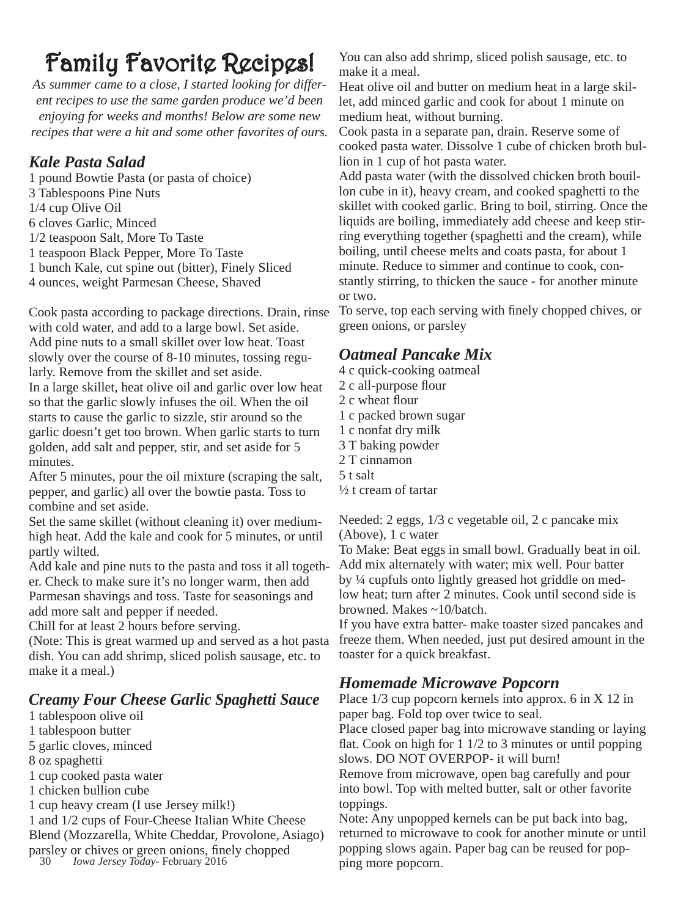*As summer came to a close, I started looking for different recipes to use the same garden produce we'd been enjoying for weeks and months! Below are some new recipes that were a hit and some other favorites of ours.*

## *Kale Pasta Salad*

1 pound Bowtie Pasta (or pasta of choice) 3 Tablespoons Pine Nuts 1/4 cup Olive Oil 6 cloves Garlic, Minced 1/2 teaspoon Salt, More To Taste 1 teaspoon Black Pepper, More To Taste 1 bunch Kale, cut spine out (bitter), Finely Sliced 4 ounces, weight Parmesan Cheese, Shaved

Cook pasta according to package directions. Drain, rinse with cold water, and add to a large bowl. Set aside. Add pine nuts to a small skillet over low heat. Toast slowly over the course of 8-10 minutes, tossing regularly. Remove from the skillet and set aside. In a large skillet, heat olive oil and garlic over low heat so that the garlic slowly infuses the oil. When the oil starts to cause the garlic to sizzle, stir around so the garlic doesn't get too brown. When garlic starts to turn golden, add salt and pepper, stir, and set aside for 5 minutes.

After 5 minutes, pour the oil mixture (scraping the salt, pepper, and garlic) all over the bowtie pasta. Toss to combine and set aside.

Set the same skillet (without cleaning it) over mediumhigh heat. Add the kale and cook for 5 minutes, or until partly wilted.

Add kale and pine nuts to the pasta and toss it all together. Check to make sure it's no longer warm, then add Parmesan shavings and toss. Taste for seasonings and add more salt and pepper if needed.

Chill for at least 2 hours before serving.

(Note: This is great warmed up and served as a hot pasta dish. You can add shrimp, sliced polish sausage, etc. to make it a meal.)

### *Creamy Four Cheese Garlic Spaghetti Sauce*

- 1 tablespoon olive oil
- 1 tablespoon butter
- 5 garlic cloves, minced
- 8 oz spaghetti
- 1 cup cooked pasta water
- 1 chicken bullion cube
- 1 cup heavy cream (I use Jersey milk!)

1 and 1/2 cups of Four-Cheese Italian White Cheese Blend (Mozzarella, White Cheddar, Provolone, Asiago) parsley or chives or green onions, finely chopped

30 *Iowa Jersey Today*- February 2016

**Family Favorite Recipes!** You can also add shrimp, sliced polish sausage, etc. to make it a meal.

> Heat olive oil and butter on medium heat in a large skillet, add minced garlic and cook for about 1 minute on medium heat, without burning.

Cook pasta in a separate pan, drain. Reserve some of cooked pasta water. Dissolve 1 cube of chicken broth bullion in 1 cup of hot pasta water.

Add pasta water (with the dissolved chicken broth bouillon cube in it), heavy cream, and cooked spaghetti to the skillet with cooked garlic. Bring to boil, stirring. Once the liquids are boiling, immediately add cheese and keep stirring everything together (spaghetti and the cream), while boiling, until cheese melts and coats pasta, for about 1 minute. Reduce to simmer and continue to cook, constantly stirring, to thicken the sauce - for another minute or two.

To serve, top each serving with finely chopped chives, or green onions, or parsley

## *Oatmeal Pancake Mix*

- 4 c quick-cooking oatmeal
- 2 c all-purpose flour
- 2 c wheat flour
- 1 c packed brown sugar
- 1 c nonfat dry milk
- 3 T baking powder
- 2 T cinnamon
- 5 t salt
	- ½ t cream of tartar

Needed: 2 eggs, 1/3 c vegetable oil, 2 c pancake mix (Above), 1 c water

To Make: Beat eggs in small bowl. Gradually beat in oil. Add mix alternately with water; mix well. Pour batter by ¼ cupfuls onto lightly greased hot griddle on medlow heat; turn after 2 minutes. Cook until second side is browned. Makes ~10/batch.

If you have extra batter- make toaster sized pancakes and freeze them. When needed, just put desired amount in the toaster for a quick breakfast.

## *Homemade Microwave Popcorn*

Place 1/3 cup popcorn kernels into approx. 6 in X 12 in paper bag. Fold top over twice to seal.

Place closed paper bag into microwave standing or laying flat. Cook on high for  $1\frac{1}{2}$  to 3 minutes or until popping slows. DO NOT OVERPOP- it will burn!

Remove from microwave, open bag carefully and pour into bowl. Top with melted butter, salt or other favorite toppings.

Note: Any unpopped kernels can be put back into bag, returned to microwave to cook for another minute or until popping slows again. Paper bag can be reused for popping more popcorn.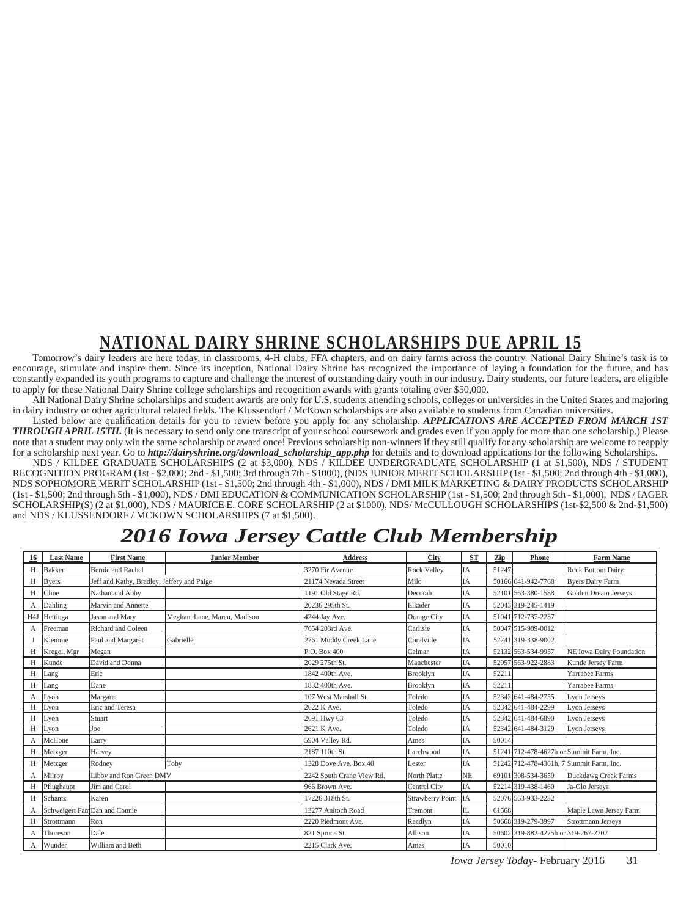# **NATIONAL DAIRY SHRINE SCHOLARSHIPS DUE APRIL 15**

Tomorrow's dairy leaders are here today, in classrooms, 4-H clubs, FFA chapters, and on dairy farms across the country. National Dairy Shrine's task is to encourage, stimulate and inspire them. Since its inception, National Dairy Shrine has recognized the importance of laying a foundation for the future, and has constantly expanded its youth programs to capture and challenge the interest of outstanding dairy youth in our industry. Dairy students, our future leaders, are eligible to apply for these National Dairy Shrine college scholarships and recognition awards with grants totaling over \$50,000.

All National Dairy Shrine scholarships and student awards are only for U.S. students attending schools, colleges or universities in the United States and majoring in dairy industry or other agricultural related fields. The Klussendorf / McKown scholarships are also available to students from Canadian universities.

Listed below are qualification details for you to review before you apply for any scholarship. *APPLICATIONS ARE ACCEPTED FROM MARCH 1ST THROUGH APRIL 15TH.* (It is necessary to send only one transcript of your school coursework and grades even if you apply for more than one scholarship.) Please note that a student may only win the same scholarship or award once! Previous scholarship non-winners if they still qualify for any scholarship are welcome to reapply for a scholarship next year. Go to *http://dairyshrine.org/download\_scholarship\_app.php* for details and to download applications for the following Scholarships.

NDS / KILDEE GRADUATE SCHOLARSHIPS (2 at \$3,000), NDS / KILDEE UNDERGRADUATE SCHOLARSHIP (1 at \$1,500), NDS / STUDENT RECOGNITION PROGRAM (1st - \$2,000; 2nd - \$1,500; 3rd through 7th - \$1000), (NDS JUNIOR MERIT SCHOLARSHIP (1st - \$1,500; 2nd through 4th - \$1,000), NDS SOPHOMORE MERIT SCHOLARSHIP (1st - \$1,500; 2nd through 4th - \$1,000), NDS / DMI MILK MARKETING & DAIRY PRODUCTS SCHOLARSHIP (1st - \$1,500; 2nd through 5th - \$1,000), NDS / DMI EDUCATION & COMMUNICATION SCHOLARSHIP (1st - \$1,500; 2nd through 5th - \$1,000), NDS / IAGER SCHOLARSHIP(S) (2 at \$1,000), NDS / MAURICE E. CORE SCHOLARSHIP (2 at \$1000), NDS/ McCULLOUGH SCHOLARSHIPS (1st-\$2,500 & 2nd-\$1,500) and NDS / KLUSSENDORF / MCKOWN SCHOLARSHIPS (7 at \$1,500).

# *2016 Iowa Jersey Cattle Club Membership*

| 16               | <b>Last Name</b> | <b>First Name</b>                          | <b>Junior Member</b>         | Address                   | <b>City</b>             | <b>ST</b>   | Zip   | Phone                               | <b>Farm Name</b>                         |
|------------------|------------------|--------------------------------------------|------------------------------|---------------------------|-------------------------|-------------|-------|-------------------------------------|------------------------------------------|
| H                | <b>Bakker</b>    | <b>Bernie</b> and Rachel                   |                              | 3270 Fir Avenue           | <b>Rock Valley</b>      | IA          | 51247 |                                     | <b>Rock Bottom Dairy</b>                 |
| H                | <b>Byers</b>     | Jeff and Kathy, Bradley, Jeffery and Paige |                              | 21174 Nevada Street       | Milo                    | IA          |       | 50166 641-942-7768                  | <b>Byers Dairy Farm</b>                  |
| H                | Cline            | Nathan and Abby                            |                              | 1191 Old Stage Rd.        | Decorah                 | IA          |       | 52101 563-380-1588                  | Golden Dream Jerseys                     |
| $\mathsf{A}$     | Dahling          | Marvin and Annette                         |                              | 20236 295th St.           | Elkader                 | IA          |       | 52043 319-245-1419                  |                                          |
| H <sub>4</sub> J | Hettinga         | Jason and Mary                             | Meghan, Lane, Maren, Madison | 4244 Jay Ave.             | Orange City             | IA          |       | 51041 712-737-2237                  |                                          |
| A                | Freeman          | Richard and Coleen                         |                              | 7654 203rd Ave.           | Carlisle                | IA          |       | 50047 515-989-0012                  |                                          |
|                  | Klemme           | Paul and Margaret                          | Gabrielle                    | 2761 Muddy Creek Lane     | Coralville              | IA          |       | 52241 319-338-9002                  |                                          |
| H                | Kregel, Mgr      | Megan                                      |                              | P.O. Box 400              | Calmar                  | IA          |       | 52132 563-534-9957                  | NE Iowa Dairy Foundation                 |
| H                | Kunde            | David and Donna                            |                              | 2029 275th St.            | Manchester              | IA          |       | 52057 563-922-2883                  | Kunde Jersey Farm                        |
| H                | Lang             | Eric                                       |                              | 1842 400th Ave.           | Brooklyn                | IA          | 52211 |                                     | Yarrabee Farms                           |
| H                | Lang             | Dane                                       |                              | 1832 400th Ave.           | Brooklyn                | IA          | 52211 |                                     | Yarrabee Farms                           |
| А                | Lyon             | Margaret                                   |                              | 107 West Marshall St.     | Toledo                  | IA          |       | 52342 641-484-2755                  | Lyon Jerseys                             |
| Н                | Lyon             | Eric and Teresa                            |                              | 2622 K Ave.               | Toledo                  | IA          |       | 52342 641-484-2299                  | Lyon Jerseys                             |
| H                | Lyon             | Stuart                                     |                              | 2691 Hwy 63               | Toledo                  | IA          |       | 52342 641-484-6890                  | Lyon Jerseys                             |
| Н                | Lyon             | Joe                                        |                              | 2621 K Ave.               | Toledo                  | IA          |       | 52342 641-484-3129                  | Lyon Jerseys                             |
| А                | McHone           | Larry                                      |                              | 5904 Valley Rd.           | Ames                    | IA          | 50014 |                                     |                                          |
| H                | Metzger          | Harvey                                     |                              | 2187 110th St.            | Larchwood               | IA          |       |                                     | 51241 712-478-4627h or Summit Farm, Inc. |
| H                | Metzger          | Rodney                                     | Toby                         | 1328 Dove Ave. Box 40     | Lester                  | IA          |       |                                     | 51242 712-478-4361h, 7 Summit Farm, Inc. |
| А                | Milroy           | Libby and Ron Green DMV                    |                              | 2242 South Crane View Rd. | North Platte            | <b>NE</b>   |       | 69101 308-534-3659                  | Duckdawg Creek Farms                     |
| H                | Pflughaupt       | Jim and Carol                              |                              | 966 Brown Ave.            | Central City            | IA          |       | 52214 319-438-1460                  | Ja-Glo Jerseys                           |
| H                | Schantz          | Karen                                      |                              | 17226 318th St.           | <b>Strawberry Point</b> | <b>I</b> IA |       | 52076 563-933-2232                  |                                          |
|                  |                  | Schweigert Fan Dan and Connie              |                              | 13277 Anitoch Road        | Tremont                 | IL          | 61568 |                                     | Maple Lawn Jersey Farm                   |
| H                | Strottmann       | Ron                                        |                              | 2220 Piedmont Ave.        | Readlyn                 | IA          |       | 50668 319-279-3997                  | Strottmann Jerseys                       |
| А                | Thoreson         | Dale                                       |                              | 821 Spruce St.            | Allison                 | IA          |       | 50602 319-882-4275h or 319-267-2707 |                                          |
| А                | Wunder           | William and Beth                           |                              | 2215 Clark Ave.           | Ames                    | IA          | 50010 |                                     |                                          |